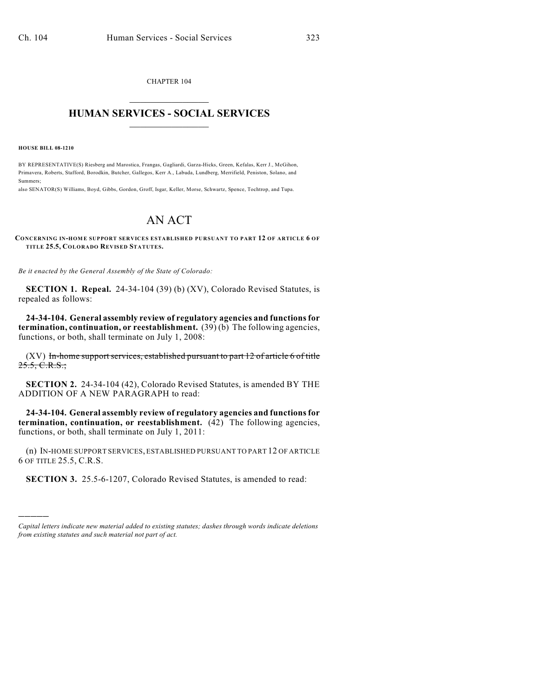CHAPTER 104  $\mathcal{L}_\text{max}$  . The set of the set of the set of the set of the set of the set of the set of the set of the set of the set of the set of the set of the set of the set of the set of the set of the set of the set of the set

## **HUMAN SERVICES - SOCIAL SERVICES**  $\frac{1}{2}$  ,  $\frac{1}{2}$  ,  $\frac{1}{2}$  ,  $\frac{1}{2}$  ,  $\frac{1}{2}$  ,  $\frac{1}{2}$  ,  $\frac{1}{2}$

**HOUSE BILL 08-1210**

)))))

BY REPRESENTATIVE(S) Riesberg and Marostica, Frangas, Gagliardi, Garza-Hicks, Green, Kefalas, Kerr J., McGihon, Primavera, Roberts, Stafford, Borodkin, Butcher, Gallegos, Kerr A., Labuda, Lundberg, Merrifield, Peniston, Solano, and Summers;

also SENATOR(S) Williams, Boyd, Gibbs, Gordon, Groff, Isgar, Keller, Morse, Schwartz, Spence, Tochtrop, and Tupa.

## AN ACT

## **CONCERNING IN-HOM E SUPPORT SERVICES ESTABLISHED PURSUANT TO PART 12 OF ARTICLE 6 OF TITLE 25.5, COLORADO REVISED STATUTES.**

*Be it enacted by the General Assembly of the State of Colorado:*

**SECTION 1. Repeal.** 24-34-104 (39) (b) (XV), Colorado Revised Statutes, is repealed as follows:

**24-34-104. General assembly review of regulatory agencies and functions for termination, continuation, or reestablishment.** (39) (b) The following agencies, functions, or both, shall terminate on July 1, 2008:

 $(XV)$  In-home support services, established pursuant to part 12 of article 6 of title  $25.5, C.R.S.,$ 

**SECTION 2.** 24-34-104 (42), Colorado Revised Statutes, is amended BY THE ADDITION OF A NEW PARAGRAPH to read:

**24-34-104. General assembly review of regulatory agencies and functions for termination, continuation, or reestablishment.** (42) The following agencies, functions, or both, shall terminate on July 1, 2011:

(n) IN-HOME SUPPORT SERVICES, ESTABLISHED PURSUANT TO PART 12 OF ARTICLE 6 OF TITLE 25.5, C.R.S.

**SECTION 3.** 25.5-6-1207, Colorado Revised Statutes, is amended to read:

*Capital letters indicate new material added to existing statutes; dashes through words indicate deletions from existing statutes and such material not part of act.*